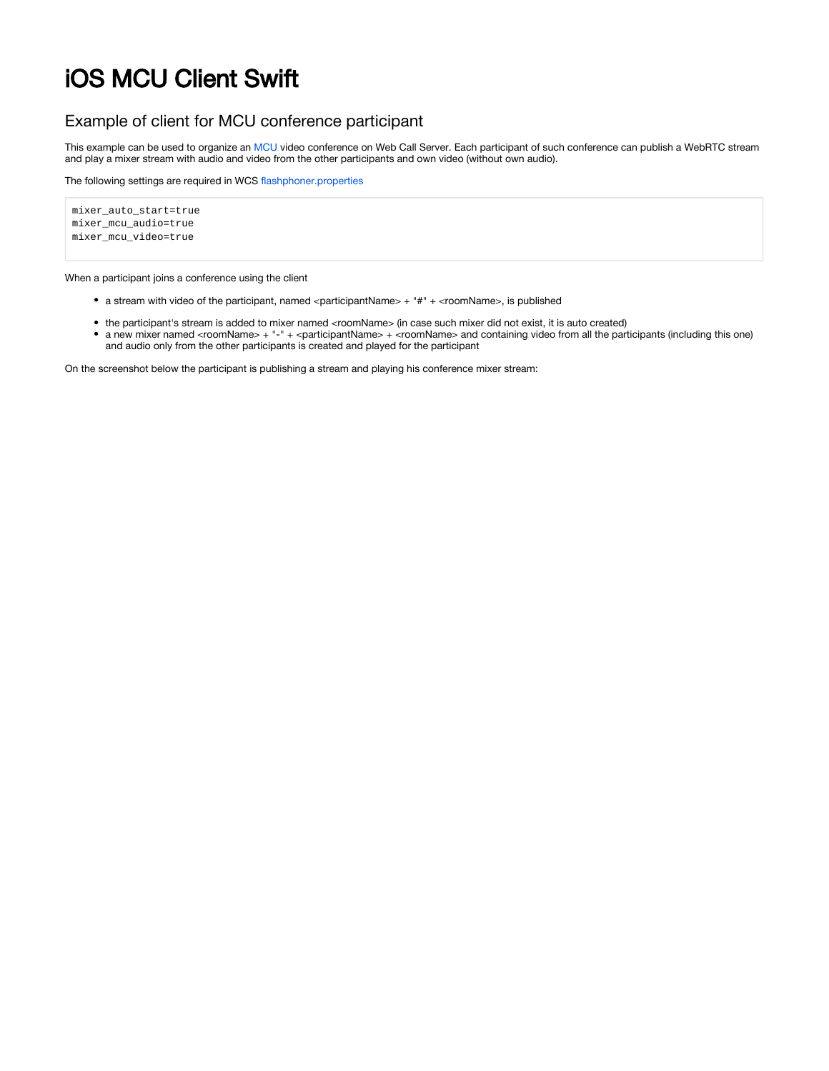# iOS MCU Client Swift

# Example of client for MCU conference participant

This example can be used to organize an [MCU](https://docs.flashphoner.com/display/WCS52EN/Stream+mixer#Streammixer-MCUsupport) video conference on Web Call Server. Each participant of such conference can publish a WebRTC stream and play a mixer stream with audio and video from the other participants and own video (without own audio).

The following settings are required in WCS [flashphoner.properties](https://docs.flashphoner.com/display/WCS52EN/Settings+file+flashphoner.properties)

```
mixer_auto_start=true
mixer_mcu_audio=true
mixer_mcu_video=true
```
When a participant joins a conference using the client

- a stream with video of the participant, named <participantName> + "#" + <roomName>, is published
- the participant's stream is added to mixer named <roomName> (in case such mixer did not exist, it is auto created)
- a new mixer named <roomName> + "-" + <participantName> + <roomName> and containing video from all the participants (including this one) and audio only from the other participants is created and played for the participant

On the screenshot below the participant is publishing a stream and playing his conference mixer stream: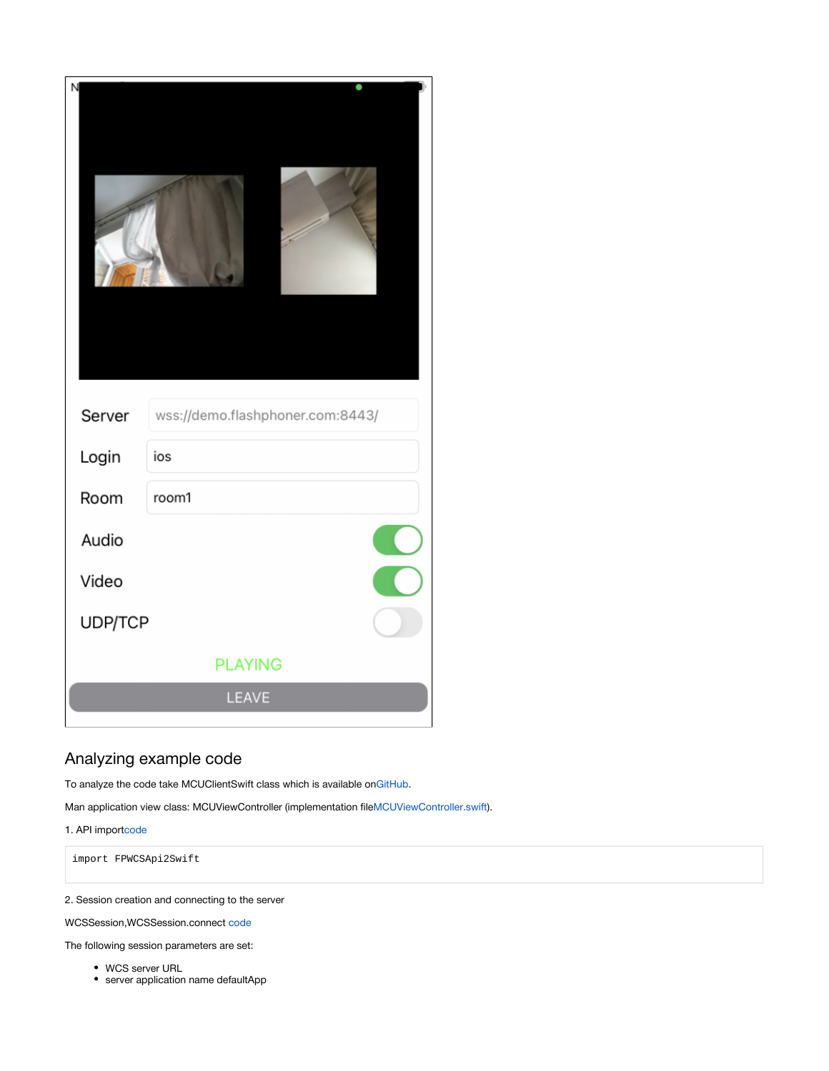| N              |                                  |
|----------------|----------------------------------|
| Server         | wss://demo.flashphoner.com:8443/ |
| Login          | ios                              |
| Room           | room1                            |
| Audio          |                                  |
| Video          |                                  |
| UDP/TCP        |                                  |
| <b>PLAYING</b> |                                  |
|                | LEAVE                            |

# Analyzing example code

To analyze the code take MCUClientSwift class which is available on[GitHub.](https://github.com/flashphoner/wcs-ios-sdk-samples/blob/fc92ceeff97fca9e9f98c55087835c202bb0df88/Swift/MCUClient)

Man application view class: MCUViewController (implementation file[MCUViewController.swift\)](https://github.com/flashphoner/wcs-ios-sdk-samples/blob/fc92ceeff97fca9e9f98c55087835c202bb0df88/Swift/MCUClient/MCUViewController.swift).

1. API import[code](https://github.com/flashphoner/wcs-ios-sdk-samples/blob/fc92ceeff97fca9e9f98c55087835c202bb0df88/Swift/MCUClient/MCUViewController.swift#L2)

import FPWCSApi2Swift

2. Session creation and connecting to the server

WCSSession,WCSSession.connect [code](https://github.com/flashphoner/wcs-ios-sdk-samples/blob/fc92ceeff97fca9e9f98c55087835c202bb0df88/Swift/MCUClient/MCUViewController.swift#L122)

The following session parameters are set:

- WCS server URL
- server application name defaultApp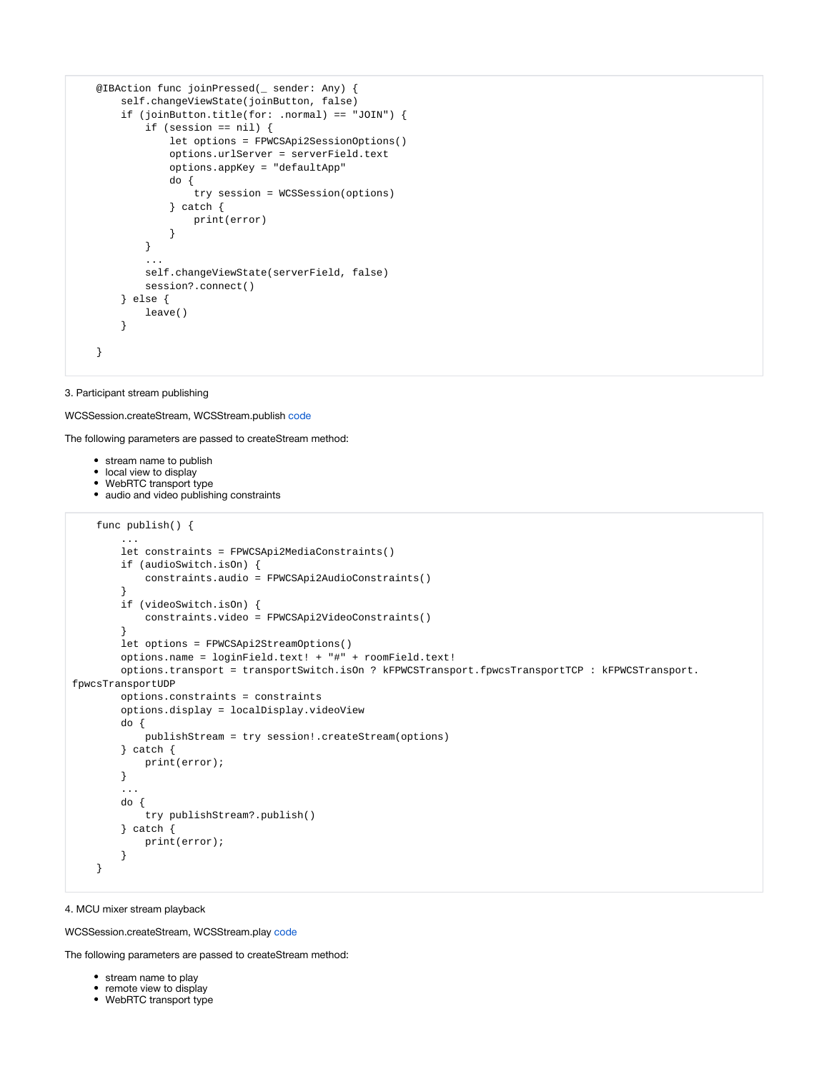```
 @IBAction func joinPressed(_ sender: Any) {
        self.changeViewState(joinButton, false)
        if (joinButton.title(for: .normal) == "JOIN") {
            if (session == nil) {
                let options = FPWCSApi2SessionOptions()
                options.urlServer = serverField.text
                options.appKey = "defaultApp"
                do {
                    try session = WCSSession(options)
                } catch {
                    print(error)
 }
            }
 ...
            self.changeViewState(serverField, false)
            session?.connect()
        } else {
            leave()
        }
    }
```
# 3. Participant stream publishing

#### WCSSession.createStream, WCSStream.publish [code](https://github.com/flashphoner/wcs-ios-sdk-samples/blob/fc92ceeff97fca9e9f98c55087835c202bb0df88/Swift/MCUClient/MCUViewController.swift#L173)

The following parameters are passed to createStream method:

- stream name to publish
- local view to display
- WebRTC transport type
- audio and video publishing constraints

```
 func publish() {
         ...
        let constraints = FPWCSApi2MediaConstraints()
        if (audioSwitch.isOn) {
             constraints.audio = FPWCSApi2AudioConstraints()
 }
        if (videoSwitch.isOn) {
             constraints.video = FPWCSApi2VideoConstraints()
 }
        let options = FPWCSApi2StreamOptions()
        options.name = loginField.text! + "#" + roomField.text!
       options.transport = transportSwitch.isOn ? kFPWCSTransport.fpwcsTransportTCP : kFPWCSTransport.
fpwcsTransportUDP
        options.constraints = constraints
        options.display = localDisplay.videoView
        do {
             publishStream = try session!.createStream(options)
         } catch {
             print(error);
         }
         ... 
        do {
            try publishStream?.publish()
        } catch {
             print(error);
         }
    }
```
#### 4. MCU mixer stream playback

WCSSession.createStream, WCSStream.play [code](https://github.com/flashphoner/wcs-ios-sdk-samples/blob/fc92ceeff97fca9e9f98c55087835c202bb0df88/Swift/MCUClient/MCUViewController.swift#L220)

The following parameters are passed to createStream method:

- stream name to play
- remote view to display
- WebRTC transport type